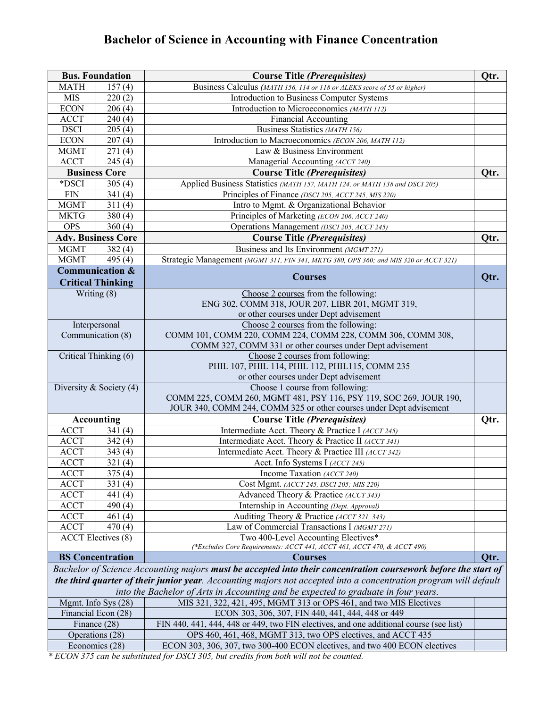## **Bachelor of Science in Accounting with Finance Concentration**

| <b>Bus. Foundation</b>       |                            | <b>Course Title (Prerequisites)</b>                                                                              | Qtr. |
|------------------------------|----------------------------|------------------------------------------------------------------------------------------------------------------|------|
| <b>MATH</b>                  | 157(4)                     | Business Calculus (MATH 156, 114 or 118 or ALEKS score of 55 or higher)                                          |      |
| <b>MIS</b>                   | 220(2)                     | Introduction to Business Computer Systems                                                                        |      |
| <b>ECON</b>                  | 206(4)                     | Introduction to Microeconomics (MATH 112)                                                                        |      |
| <b>ACCT</b>                  | 240(4)                     | <b>Financial Accounting</b>                                                                                      |      |
| <b>DSCI</b>                  | 205(4)                     | Business Statistics (MATH 156)                                                                                   |      |
| <b>ECON</b>                  | 207(4)                     | Introduction to Macroeconomics (ECON 206, MATH 112)                                                              |      |
| <b>MGMT</b>                  | 271(4)                     | Law & Business Environment                                                                                       |      |
| <b>ACCT</b>                  | 245(4)                     | Managerial Accounting (ACCT 240)                                                                                 |      |
|                              | <b>Business Core</b>       | <b>Course Title (Prerequisites)</b>                                                                              | Qtr. |
| *DSCI                        | 305 $(4)$                  | Applied Business Statistics (MATH 157, MATH 124, or MATH 138 and DSCI 205)                                       |      |
| <b>FIN</b>                   | 341(4)                     | Principles of Finance (DSCI 205, ACCT 245, MIS 220)                                                              |      |
| <b>MGMT</b>                  | 311(4)                     | Intro to Mgmt. & Organizational Behavior                                                                         |      |
| <b>MKTG</b>                  | 380(4)                     | Principles of Marketing (ECON 206, ACCT 240)                                                                     |      |
| <b>OPS</b>                   | 360(4)                     | Operations Management (DSCI 205, ACCT 245)                                                                       |      |
|                              | <b>Adv. Business Core</b>  | <b>Course Title (Prerequisites)</b>                                                                              | Qtr. |
| <b>MGMT</b>                  | 382(4)                     | Business and Its Environment (MGMT 271)                                                                          |      |
| <b>MGMT</b>                  | 495 $(4)$                  | Strategic Management (MGMT 311, FIN 341, MKTG 380, OPS 360; and MIS 320 or ACCT 321)                             |      |
|                              | <b>Communication &amp;</b> | <b>Courses</b>                                                                                                   | Qtr. |
|                              | <b>Critical Thinking</b>   |                                                                                                                  |      |
|                              | Writing (8)                | Choose 2 courses from the following:                                                                             |      |
|                              |                            | ENG 302, COMM 318, JOUR 207, LIBR 201, MGMT 319,                                                                 |      |
|                              |                            | or other courses under Dept advisement                                                                           |      |
|                              | Interpersonal              | Choose 2 courses from the following:                                                                             |      |
| Communication (8)            |                            | COMM 101, COMM 220, COMM 224, COMM 228, COMM 306, COMM 308,                                                      |      |
|                              |                            | COMM 327, COMM 331 or other courses under Dept advisement                                                        |      |
|                              | Critical Thinking (6)      | Choose 2 courses from following:<br>PHIL 107, PHIL 114, PHIL 112, PHIL115, COMM 235                              |      |
|                              |                            | or other courses under Dept advisement                                                                           |      |
| Diversity & Society $(4)$    |                            | Choose 1 course from following:                                                                                  |      |
|                              |                            | COMM 225, COMM 260, MGMT 481, PSY 116, PSY 119, SOC 269, JOUR 190,                                               |      |
|                              |                            | JOUR 340, COMM 244, COMM 325 or other courses under Dept advisement                                              |      |
|                              | <b>Accounting</b>          | <b>Course Title (Prerequisites)</b>                                                                              | Qtr. |
| $\boldsymbol{\mathrm{ACCT}}$ | 341(4)                     | Intermediate Acct. Theory & Practice I (ACCT 245)                                                                |      |
| <b>ACCT</b>                  | 342(4)                     | Intermediate Acct. Theory & Practice II (ACCT 341)                                                               |      |
| <b>ACCT</b>                  | 343(4)                     | Intermediate Acct. Theory & Practice III (ACCT 342)                                                              |      |
| <b>ACCT</b>                  | 321(4)                     | Acct. Info Systems I (ACCT 245)                                                                                  |      |
| <b>ACCT</b>                  | 375(4)                     | Income Taxation (ACCT 240)                                                                                       |      |
| <b>ACCT</b>                  | 331(4)                     | Cost Mgmt. (ACCT 245, DSCI 205; MIS 220)                                                                         |      |
| <b>ACCT</b>                  | 441 (4)                    | Advanced Theory & Practice (ACCT 343)                                                                            |      |
| <b>ACCT</b>                  | 490 $(4)$                  | Internship in Accounting (Dept. Approval)                                                                        |      |
| <b>ACCT</b>                  | 461(4)                     | Auditing Theory & Practice (ACCT 321, 343)                                                                       |      |
| <b>ACCT</b>                  | 470(4)                     | Law of Commercial Transactions I (MGMT 271)                                                                      |      |
|                              | <b>ACCT</b> Electives (8)  | Two 400-Level Accounting Electives*                                                                              |      |
|                              |                            | (*Excludes Core Requirements: ACCT 441, ACCT 461, ACCT 470, & ACCT 490)                                          |      |
|                              | <b>BS</b> Concentration    | <b>Courses</b>                                                                                                   | Qtr. |
|                              |                            | Bachelor of Science Accounting majors must be accepted into their concentration coursework before the start of   |      |
|                              |                            | the third quarter of their junior year. Accounting majors not accepted into a concentration program will default |      |
|                              |                            | into the Bachelor of Arts in Accounting and be expected to graduate in four years.                               |      |
|                              | Mgmt. Info Sys (28)        | MIS 321, 322, 421, 495, MGMT 313 or OPS 461, and two MIS Electives                                               |      |
|                              | Financial Econ (28)        | ECON 303, 306, 307, FIN 440, 441, 444, 448 or 449                                                                |      |
|                              | Finance (28)               | FIN 440, 441, 444, 448 or 449, two FIN electives, and one additional course (see list)                           |      |
|                              | Operations (28)            | OPS 460, 461, 468, MGMT 313, two OPS electives, and ACCT 435                                                     |      |
| Economics (28)               |                            | ECON 303, 306, 307, two 300-400 ECON electives, and two 400 ECON electives                                       |      |

*\* ECON 375 can be substituted for DSCI 305, but credits from both will not be counted.*